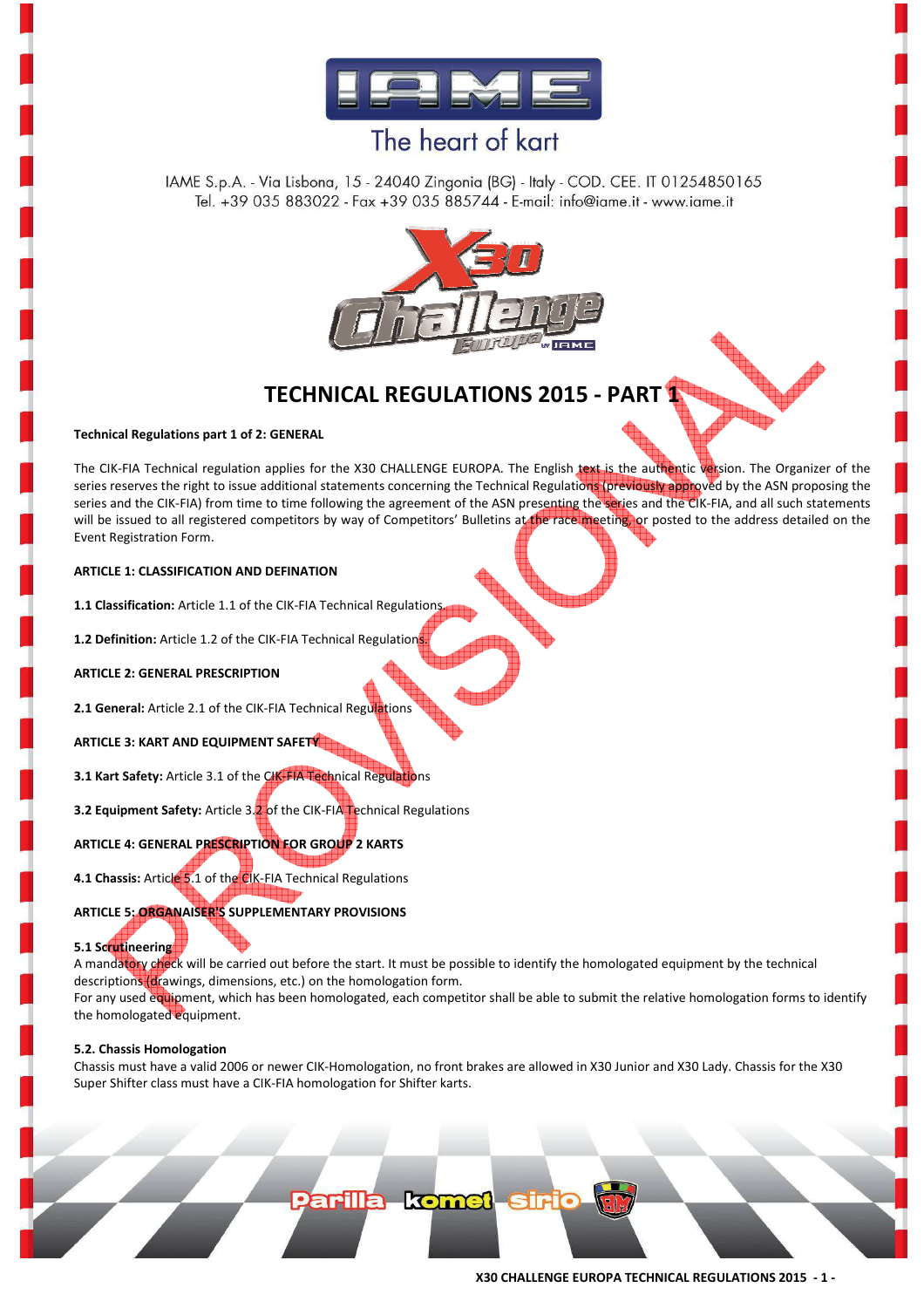

IAME S.p.A. - Via Lisbona, 15 - 24040 Zingonia (BG) - Italy - COD. CEE. IT 01254850165 Tel. +39 035 883022 - Fax +39 035 885744 - E-mail: info@iame.it - www.iame.it



### **TECHNICAL REGULATIONS 2015 - PART 1**

#### **Technical Regulations part 1 of 2: GENERAL**

The CIK-FIA Technical regulation applies for the X30 CHALLENGE EUROPA. The English text is the authentic version. The Organizer of the series reserves the right to issue additional statements concerning the Technical Regulations (previously approved by the ASN proposing the series and the CIK-FIA) from time to time following the agreement of the ASN presenting the series and the CIK-FIA, and all such statements will be issued to all registered competitors by way of Competitors' Bulletins at the race meeting, or posted to the address detailed on the Event Registration Form.

#### **ARTICLE 1: CLASSIFICATION AND DEFINATION**

**1.1 Classification:** Article 1.1 of the CIK-FIA Technical Regulations.

**1.2 Definition:** Article 1.2 of the CIK-FIA Technical Regulations

#### **ARTICLE 2: GENERAL PRESCRIPTION**

2.1 General: Article 2.1 of the CIK-FIA Technical Regulations

**ARTICLE 3: KART AND EQUIPMENT SAFETY** 

**3.1 Kart Safety: Article 3.1 of the CIK-FIA Technical Regulations** 

**3.2 Equipment Safety:** Article 3.2 of the CIK-FIA Technical Regulations

**ARTICLE 4: GENERAL PRESCRIPTION FOR GROUP 2 KARTS** 

**4.1 Chassis:** Article 5.1 of the CIK-FIA Technical Regulations

#### **ARTICLE 5: ORGANAISER'S SUPPLEMENTARY PROVISIONS**

**5.1 Scrutineering** 

A mandatory check will be carried out before the start. It must be possible to identify the homologated equipment by the technical descriptions (drawings, dimensions, etc.) on the homologation form.

For any used equipment, which has been homologated, each competitor shall be able to submit the relative homologation forms to identify the homologated equipment.

#### **5.2. Chassis Homologation**

Chassis must have a valid 2006 or newer CIK-Homologation, no front brakes are allowed in X30 Junior and X30 Lady. Chassis for the X30 Super Shifter class must have a CIK-FIA homologation for Shifter karts.

Parilla komet siri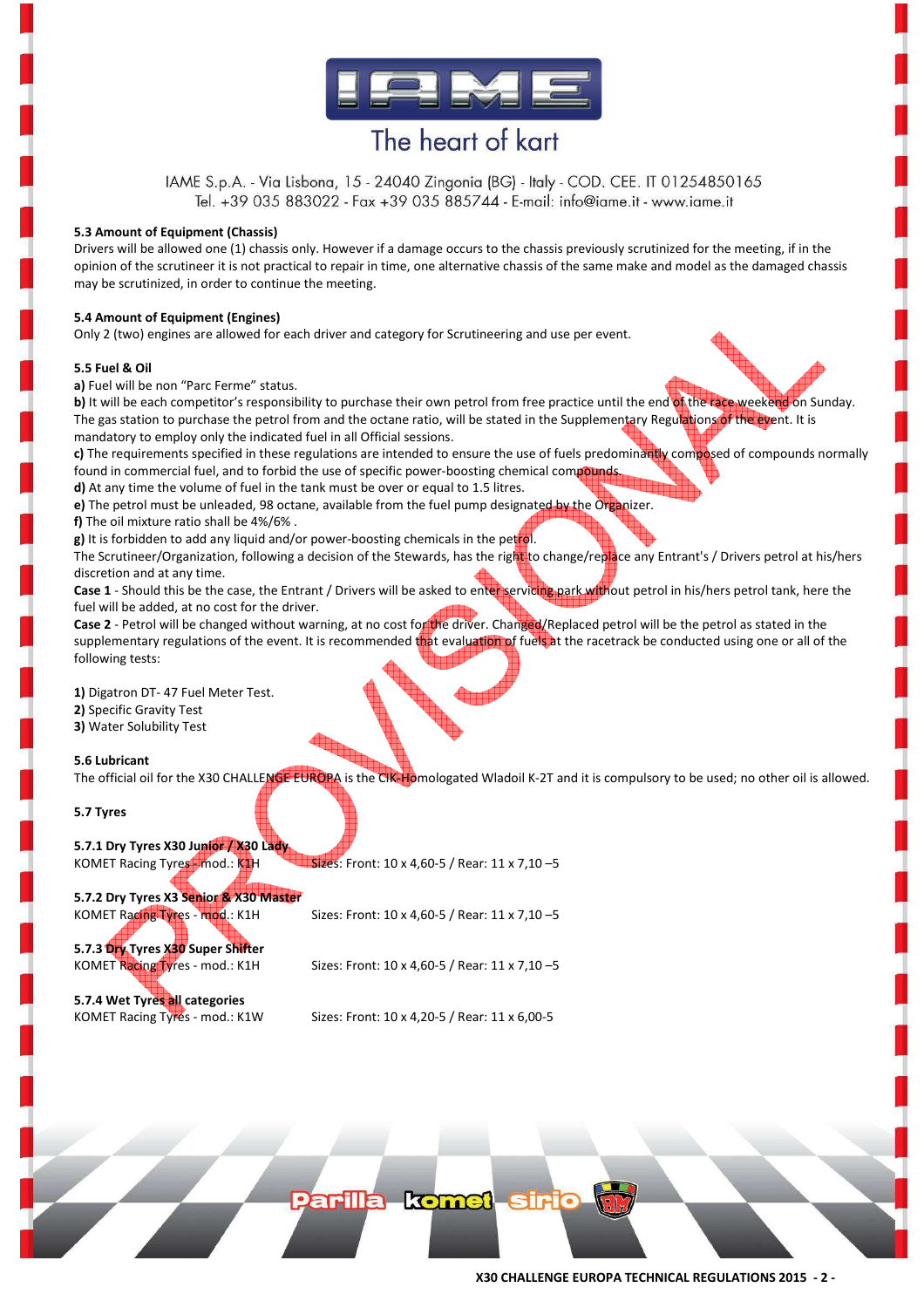

IAME S.p.A. - Via Lisbona, 15 - 24040 Zingonia (BG) - Italy - COD. CEE. IT 01254850165 Tel. +39 035 883022 - Fax +39 035 885744 - E-mail: info@iame.it - www.iame.it

#### **5.3 Amount of Equipment (Chassis)**

Drivers will be allowed one (1) chassis only. However if a damage occurs to the chassis previously scrutinized for the meeting, if in the opinion of the scrutineer it is not practical to repair in time, one alternative chassis of the same make and model as the damaged chassis may be scrutinized, in order to continue the meeting.

#### **5.4 Amount of Equipment (Engines)**

Only 2 (two) engines are allowed for each driver and category for Scrutineering and use per event.

#### **5.5 Fuel & Oil**

**a)** Fuel will be non "Parc Ferme" status.

**b)** It will be each competitor's responsibility to purchase their own petrol from free practice until the end of the race weekend on Sunday. The gas station to purchase the petrol from and the octane ratio, will be stated in the Supplementary Regulations of the event. It is mandatory to employ only the indicated fuel in all Official sessions.

**c)** The requirements specified in these regulations are intended to ensure the use of fuels predominantly composed of compounds normally found in commercial fuel, and to forbid the use of specific power-boosting chemical compounds.

**d)** At any time the volume of fuel in the tank must be over or equal to 1.5 litres.

**e)** The petrol must be unleaded, 98 octane, available from the fuel pump designated by the Organizer.

**f)** The oil mixture ratio shall be 4%/6% .

**g)** It is forbidden to add any liquid and/or power-boosting chemicals in the petrol. The Scrutineer/Organization, following a decision of the Stewards, has the right to change/replace any Entrant's / Drivers petrol at his/hers discretion and at any time.

Case 1 - Should this be the case, the Entrant / Drivers will be asked to enter servicing park without petrol in his/hers petrol tank, here the fuel will be added, at no cost for the driver.

Case 2 - Petrol will be changed without warning, at no cost for the driver. Changed/Replaced petrol will be the petrol as stated in the supplementary regulations of the event. It is recommended that evaluation of fuels at the racetrack be conducted using one or all of the following tests:

**1)** Digatron DT- 47 Fuel Meter Test.

**2)** Specific Gravity Test

**3)** Water Solubility Test

#### **5.6 Lubricant**

The official oil for the X30 CHALLENGE EUROPA is the CIK-Homologated Wladoil K-2T and it is compulsory to be used; no other oil is allowed.

**5.7 Tyres**

**5.7.1 Dry Tyres X30 Junior / X30 Lady** KOMET Racing Tyres - mod.: K1H Sizes: Front: 10 x 4,60-5 / Rear: 11 x 7,10 -5

**5.7.2 Dry Tyres X3 Senior & X30 Master** 

KOMET Racing Tyres - mod.: K1H Sizes: Front:  $10 \times 4,60-5$  / Rear:  $11 \times 7,10-5$ 

**5.7.3 Dry Tyres X30 Super Shifter** 

KOMET Racing Tyres - mod.: K1H Sizes: Front:  $10 \times 4,60-5$  / Rear:  $11 \times 7,10-5$ 

**5.7.4 Wet Tyres all categories**

KOMET Racing Tyres - mod.: K1W Sizes: Front: 10 x 4,20-5 / Rear: 11 x 6,00-5

Parilla komei sir

**X30 CHALLENGE EUROPA TECHNICAL REGULATIONS 2015 - 2 -**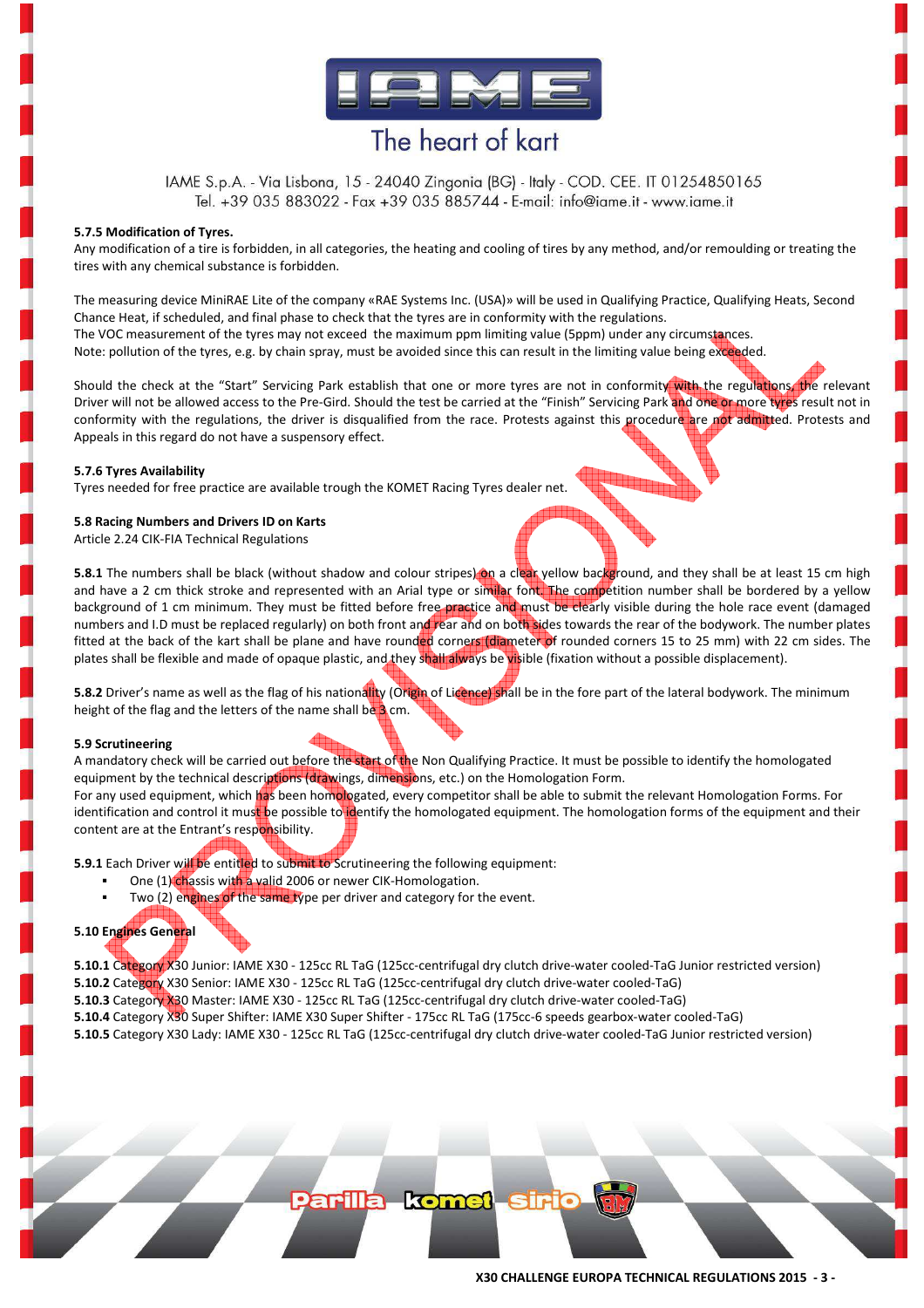

IAME S.p.A. - Via Lisbona, 15 - 24040 Zingonia (BG) - Italy - COD. CEE. IT 01254850165 Tel. +39 035 883022 - Fax +39 035 885744 - E-mail: info@iame.it - www.iame.it

#### **5.7.5 Modification of Tyres.**

Any modification of a tire is forbidden, in all categories, the heating and cooling of tires by any method, and/or remoulding or treating the tires with any chemical substance is forbidden.

The measuring device MiniRAE Lite of the company «RAE Systems Inc. (USA)» will be used in Qualifying Practice, Qualifying Heats, Second Chance Heat, if scheduled, and final phase to check that the tyres are in conformity with the regulations. The VOC measurement of the tyres may not exceed the maximum ppm limiting value (5ppm) under any circumstances. Note: pollution of the tyres, e.g. by chain spray, must be avoided since this can result in the limiting value being exceeded.

Should the check at the "Start" Servicing Park establish that one or more tyres are not in conformity with the regulations, the relevant Driver will not be allowed access to the Pre-Gird. Should the test be carried at the "Finish" Servicing Park and one or more tyres result not in conformity with the regulations, the driver is disqualified from the race. Protests against this procedure are not admitted. Protests and Appeals in this regard do not have a suspensory effect.

#### **5.7.6 Tyres Availability**

Tyres needed for free practice are available trough the KOMET Racing Tyres dealer net.

#### **5.8 Racing Numbers and Drivers ID on Karts**

Article 2.24 CIK-FIA Technical Regulations

**5.8.1** The numbers shall be black (without shadow and colour stripes) on a clear yellow background, and they shall be at least 15 cm high and have a 2 cm thick stroke and represented with an Arial type or similar font. The competition number shall be bordered by a yellow background of 1 cm minimum. They must be fitted before free practice and must be clearly visible during the hole race event (damaged numbers and I.D must be replaced regularly) on both front and rear and on both sides towards the rear of the bodywork. The number plates fitted at the back of the kart shall be plane and have rounded corners (diameter of rounded corners 15 to 25 mm) with 22 cm sides. The plates shall be flexible and made of opaque plastic, and they shall always be visible (fixation without a possible displacement).

**5.8.2** Driver's name as well as the flag of his nationality (Origin of Licence) shall be in the fore part of the lateral bodywork. The minimum height of the flag and the letters of the name shall be 3 cm.

#### **5.9 Scrutineering**

A mandatory check will be carried out before the start of the Non Qualifying Practice. It must be possible to identify the homologated equipment by the technical descriptions (drawings, dimensions, etc.) on the Homologation Form.

For any used equipment, which has been homologated, every competitor shall be able to submit the relevant Homologation Forms. For identification and control it must be possible to identify the homologated equipment. The homologation forms of the equipment and their content are at the Entrant's responsibility.

**5.9.1** Each Driver will be entitled to submit to Scrutineering the following equipment:

- One (1) chassis with a valid 2006 or newer CIK-Homologation.
- Two (2) engines of the same type per driver and category for the event.

#### **5.10 Engines General**

**5.10.1** Category X30 Junior: IAME X30 - 125cc RL TaG (125cc-centrifugal dry clutch drive-water cooled-TaG Junior restricted version) **5.10.2** Category X30 Senior: IAME X30 - 125cc RL TaG (125cc-centrifugal dry clutch drive-water cooled-TaG)

**5.10.3** Category X30 Master: IAME X30 - 125cc RL TaG (125cc-centrifugal dry clutch drive-water cooled-TaG)

**5.10.4** Category X30 Super Shifter: IAME X30 Super Shifter - 175cc RL TaG (175cc-6 speeds gearbox-water cooled-TaG)

**5.10.5** Category X30 Lady: IAME X30 - 125cc RL TaG (125cc-centrifugal dry clutch drive-water cooled-TaG Junior restricted version)

**arilla komet sir**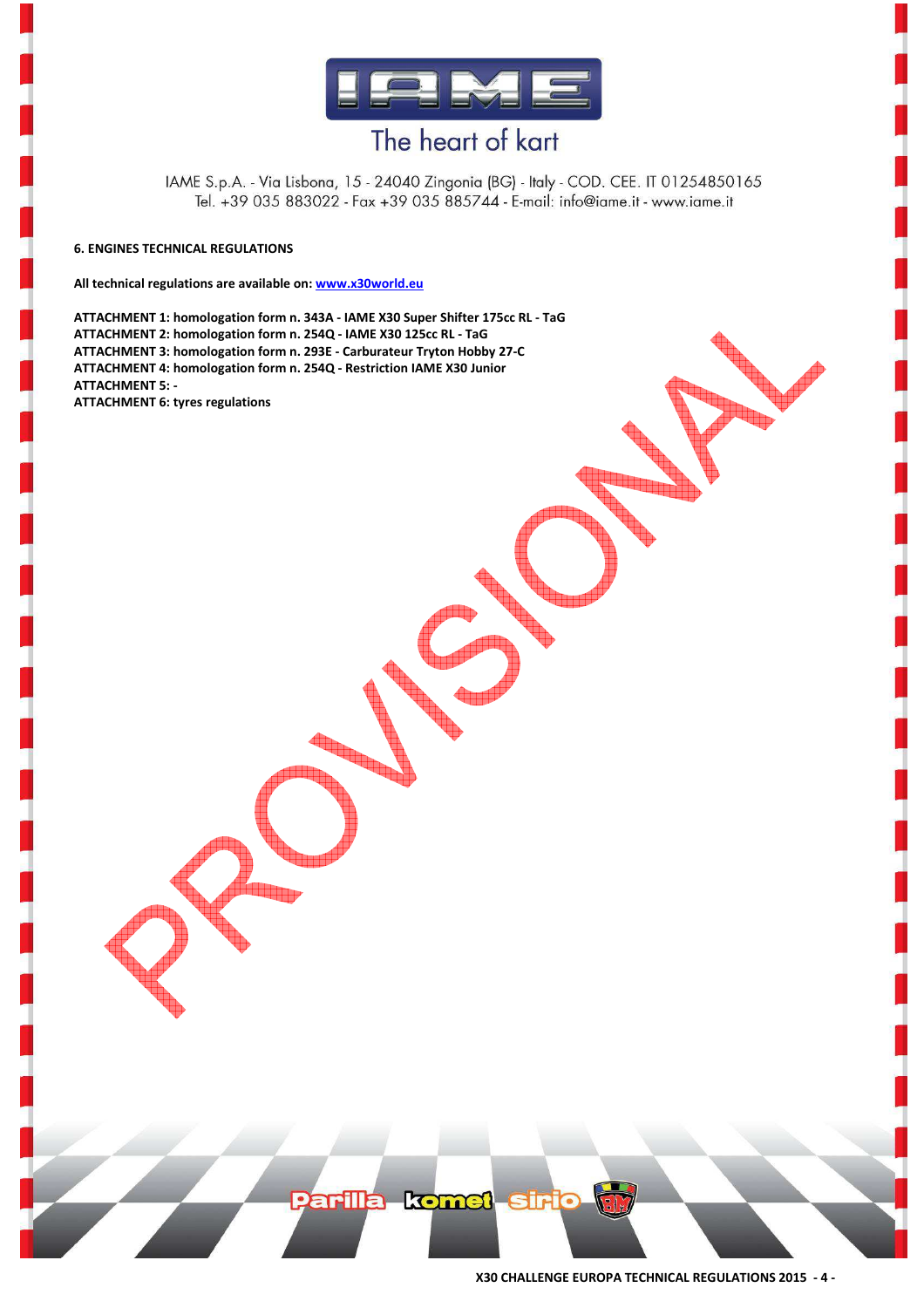

IAME S.p.A. - Via Lisbona, 15 - 24040 Zingonia (BG) - Italy - COD. CEE. IT 01254850165 Tel. +39 035 883022 - Fax +39 035 885744 - E-mail: info@iame.it - www.iame.it

#### **6. ENGINES TECHNICAL REGULATIONS**

**All technical regulations are available on: www.x30world.eu** 

**ATTACHMENT 1: homologation form n. 343A - IAME X30 Super Shifter 175cc RL - TaG ATTACHMENT 2: homologation form n. 254Q - IAME X30 125cc RL - TaG ATTACHMENT 3: homologation form n. 293E - Carburateur Tryton Hobby 27-C ATTACHMENT 4: homologation form n. 254Q - Restriction IAME X30 Junior ATTACHMENT 5: -** 

**ATTACHMENT 6: tyres regulations**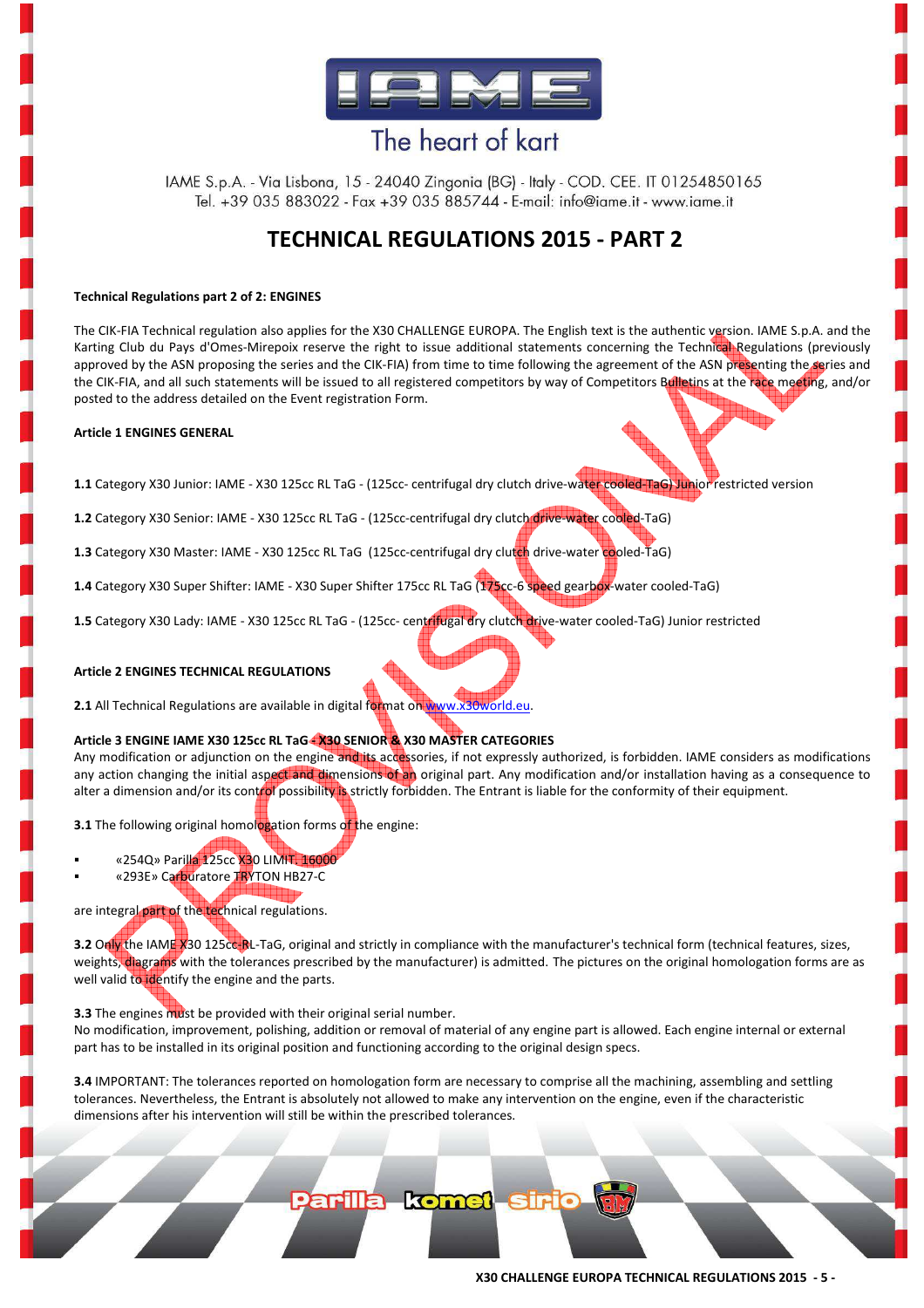

IAME S.p.A. - Via Lisbona, 15 - 24040 Zingonia (BG) - Italy - COD. CEE. IT 01254850165 Tel. +39 035 883022 - Fax +39 035 885744 - E-mail: info@iame.it - www.iame.it

### **TECHNICAL REGULATIONS 2015 - PART 2**

#### **Technical Regulations part 2 of 2: ENGINES**

The CIK-FIA Technical regulation also applies for the X30 CHALLENGE EUROPA. The English text is the authentic version. IAME S.p.A. and the Karting Club du Pays d'Omes-Mirepoix reserve the right to issue additional statements concerning the Technical Regulations (previously approved by the ASN proposing the series and the CIK-FIA) from time to time following the agreement of the ASN presenting the series and the CIK-FIA, and all such statements will be issued to all registered competitors by way of Competitors Bulletins at the race meeting, and/or posted to the address detailed on the Event registration Form.

#### **Article 1 ENGINES GENERAL**

**1.1** Category X30 Junior: IAME - X30 125cc RL TaG - (125cc- centrifugal dry clutch drive-water cooled-TaG) Junior restricted version

**1.2** Category X30 Senior: IAME - X30 125cc RL TaG - (125cc-centrifugal dry clutch drive-water cooled-TaG)

**1.3** Category X30 Master: IAME - X30 125cc RL TaG (125cc-centrifugal dry clutch drive-water cooled-TaG)

**1.4** Category X30 Super Shifter: IAME - X30 Super Shifter 175cc RL TaG (175cc-6 speed gearbox-water cooled-TaG)

**1.5** Category X30 Lady: IAME - X30 125cc RL TaG - (125cc- centrifugal dry clutch drive-water cooled-TaG) Junior restricted

#### **Article 2 ENGINES TECHNICAL REGULATIONS**

**2.1** All Technical Regulations are available in digital format on www.x30world.eu.

#### **Article 3 ENGINE IAME X30 125cc RL TaG - X30 SENIOR & X30 MASTER CATEGORIES**

Any modification or adjunction on the engine and its accessories, if not expressly authorized, is forbidden. IAME considers as modifications any action changing the initial aspect and dimensions of an original part. Any modification and/or installation having as a consequence to alter a dimension and/or its control possibility is strictly forbidden. The Entrant is liable for the conformity of their equipment.

**3.1** The following original homologation forms of the engine:

- «254Q» Parilla 125cc X30 LIMIT. 16000
- «293E» Carburatore TRYTON HB27-C

### are integral part of the technical regulations.

**3.2** Only the IAME X30 125cc-RL-TaG, original and strictly in compliance with the manufacturer's technical form (technical features, sizes, weights, diagrams with the tolerances prescribed by the manufacturer) is admitted. The pictures on the original homologation forms are as well valid to identify the engine and the parts.

**3.3** The engines must be provided with their original serial number.

No modification, improvement, polishing, addition or removal of material of any engine part is allowed. Each engine internal or external part has to be installed in its original position and functioning according to the original design specs.

**3.4** IMPORTANT: The tolerances reported on homologation form are necessary to comprise all the machining, assembling and settling tolerances. Nevertheless, the Entrant is absolutely not allowed to make any intervention on the engine, even if the characteristic dimensions after his intervention will still be within the prescribed tolerances.

Parilla komet siric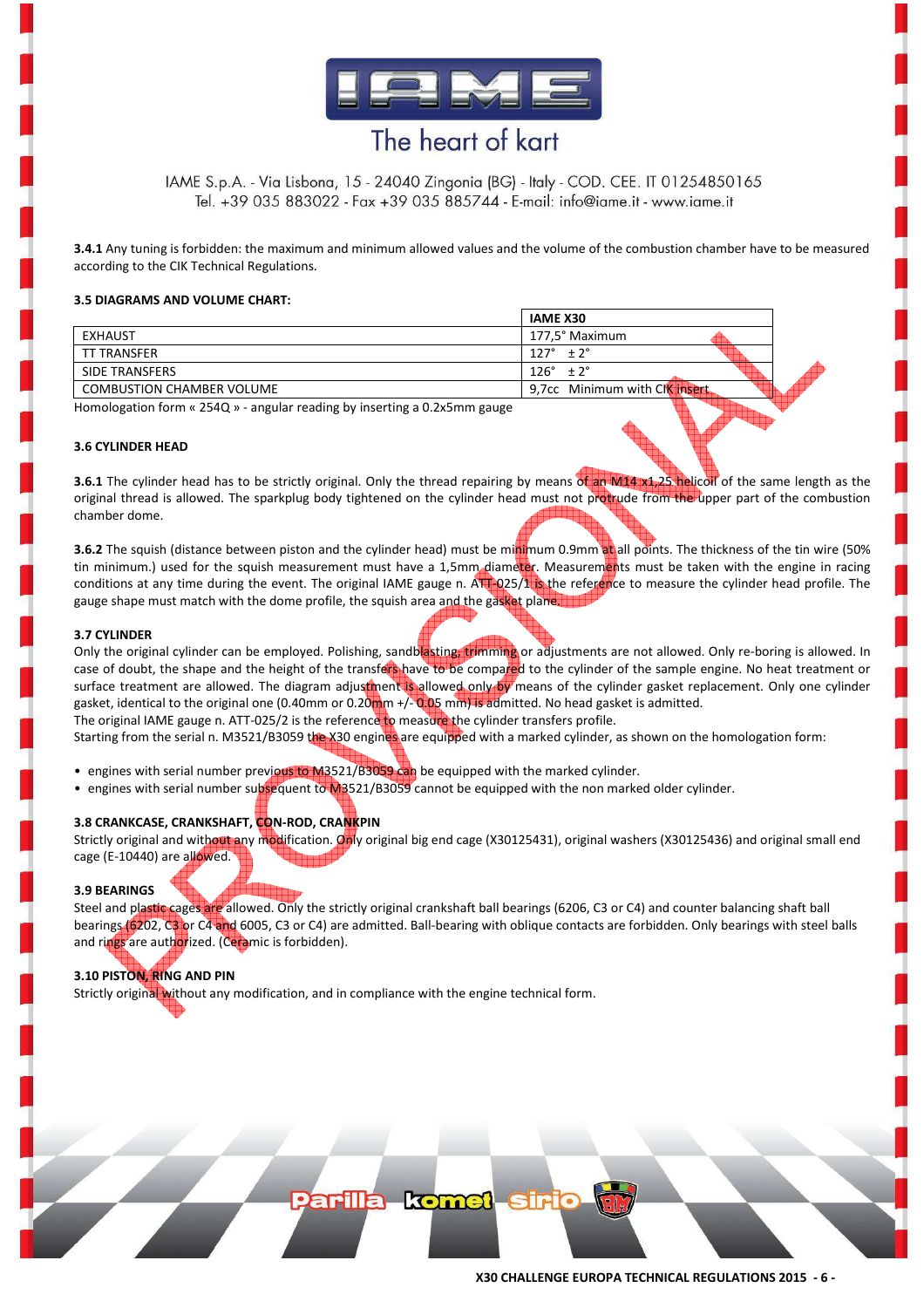

IAME S.p.A. - Via Lisbona, 15 - 24040 Zingonia (BG) - Italy - COD. CEE. IT 01254850165 Tel. +39 035 883022 - Fax +39 035 885744 - E-mail: info@iame.it - www.iame.it

**3.4.1** Any tuning is forbidden: the maximum and minimum allowed values and the volume of the combustion chamber have to be measured according to the CIK Technical Regulations.

#### **3.5 DIAGRAMS AND VOLUME CHART:**

|                                  | <b>IAME X30</b>                       |  |
|----------------------------------|---------------------------------------|--|
| <b>EXHAUST</b>                   | 177.5° Maximum                        |  |
| TT TRANSFER                      | $127^\circ$<br>± 2°                   |  |
| SIDE TRANSFERS                   | $126^\circ$<br>$\pm 2^{\circ}$        |  |
| <b>COMBUSTION CHAMBER VOLUME</b> | 9,7cc Minimum with Cl <b>k insert</b> |  |

Homologation form « 254Q » - angular reading by inserting a 0.2x5mm gauge

#### **3.6 CYLINDER HEAD**

**3.6.1** The cylinder head has to be strictly original. Only the thread repairing by means of an M14 x1,25 helicoll of the same length as the original thread is allowed. The sparkplug body tightened on the cylinder head must not protrude from the upper part of the combustion chamber dome.

**3.6.2** The squish (distance between piston and the cylinder head) must be minimum 0.9mm at all points. The thickness of the tin wire (50% tin minimum.) used for the squish measurement must have a 1,5mm diameter. Measurements must be taken with the engine in racing conditions at any time during the event. The original IAME gauge n. ATT-025/1 is the reference to measure the cylinder head profile. The gauge shape must match with the dome profile, the squish area and the gasket plane.

#### **3.7 CYLINDER**

Only the original cylinder can be employed. Polishing, sandblasting, trimming or adjustments are not allowed. Only re-boring is allowed. In case of doubt, the shape and the height of the transfers have to be compared to the cylinder of the sample engine. No heat treatment or surface treatment are allowed. The diagram adjustment is allowed only by means of the cylinder gasket replacement. Only one cylinder gasket, identical to the original one (0.40mm or 0.20mm +/-0.05 mm) is admitted. No head gasket is admitted. The original IAME gauge n. ATT-025/2 is the reference to measure the cylinder transfers profile.

Starting from the serial n. M3521/B3059 the X30 engines are equipped with a marked cylinder, as shown on the homologation form:

- engines with serial number previous to M3521/B3059 can be equipped with the marked cylinder.
- engines with serial number subsequent to M3521/B3059 cannot be equipped with the non marked older cylinder.

#### **3.8 CRANKCASE, CRANKSHAFT, CON-ROD, CRANKPIN**

Strictly original and without any modification. Only original big end cage (X30125431), original washers (X30125436) and original small end cage (E-10440) are allowed.

#### **3.9 BEARINGS**

Steel and plastic cages are allowed. Only the strictly original crankshaft ball bearings (6206, C3 or C4) and counter balancing shaft ball bearings (6202, C3 or C4 and 6005, C3 or C4) are admitted. Ball-bearing with oblique contacts are forbidden. Only bearings with steel balls and rings are authorized. (Ceramic is forbidden).

**arilla komet sin** 

#### **3.10 PISTON, RING AND PIN**

Strictly original without any modification, and in compliance with the engine technical form.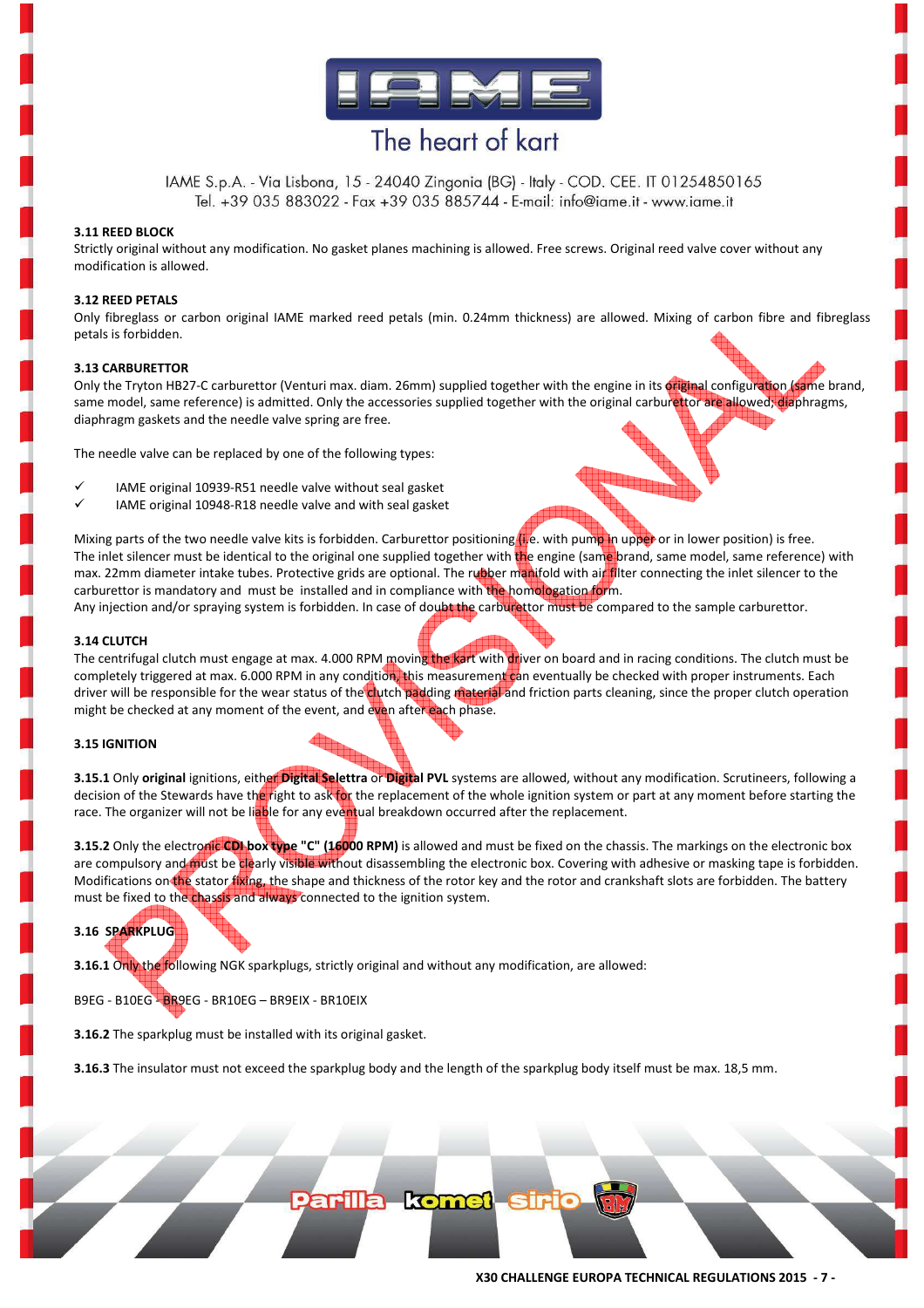

IAME S.p.A. - Via Lisbona, 15 - 24040 Zingonia (BG) - Italy - COD. CEE. IT 01254850165 Tel. +39 035 883022 - Fax +39 035 885744 - E-mail: info@iame.it - www.iame.it

#### **3.11 REED BLOCK**

Strictly original without any modification. No gasket planes machining is allowed. Free screws. Original reed valve cover without any modification is allowed.

#### **3.12 REED PETALS**

Only fibreglass or carbon original IAME marked reed petals (min. 0.24mm thickness) are allowed. Mixing of carbon fibre and fibreglass petals is forbidden.

#### **3.13 CARBURETTOR**

Only the Tryton HB27-C carburettor (Venturi max. diam. 26mm) supplied together with the engine in its original configuration (same brand, same model, same reference) is admitted. Only the accessories supplied together with the original carburettor are allowed; diaphragms, diaphragm gaskets and the needle valve spring are free.

The needle valve can be replaced by one of the following types:

- $\checkmark$ IAME original 10939-R51 needle valve without seal gasket
- $\checkmark$ IAME original 10948-R18 needle valve and with seal gasket

Mixing parts of the two needle valve kits is forbidden. Carburettor positioning (i.e. with pump in upper or in lower position) is free. The inlet silencer must be identical to the original one supplied together with the engine (same brand, same model, same reference) with max. 22mm diameter intake tubes. Protective grids are optional. The rubber manifold with air filter connecting the inlet silencer to the carburettor is mandatory and must be installed and in compliance with the homologation form.

Any injection and/or spraying system is forbidden. In case of doubt the carburettor must be compared to the sample carburettor.

#### **3.14 CLUTCH**

The centrifugal clutch must engage at max. 4.000 RPM moving the kart with driver on board and in racing conditions. The clutch must be completely triggered at max. 6.000 RPM in any condition, this measurement can eventually be checked with proper instruments. Each driver will be responsible for the wear status of the clutch padding material and friction parts cleaning, since the proper clutch operation might be checked at any moment of the event, and even after each phase.

#### **3.15 IGNITION**

**3.15.1** Only **original** ignitions, either **Digital Selettra** or **Digital PVL** systems are allowed, without any modification. Scrutineers, following a decision of the Stewards have the right to ask for the replacement of the whole ignition system or part at any moment before starting the race. The organizer will not be liable for any eventual breakdown occurred after the replacement.

**3.15.2** Only the electronic CDI box type "C" (16000 RPM) is allowed and must be fixed on the chassis. The markings on the electronic box are compulsory and must be clearly visible without disassembling the electronic box. Covering with adhesive or masking tape is forbidden. Modifications on the stator fixing, the shape and thickness of the rotor key and the rotor and crankshaft slots are forbidden. The battery must be fixed to the chassis and always connected to the ignition system.

#### **3.16 SPARKPLUG**

**3.16.1** Only the following NGK sparkplugs, strictly original and without any modification, are allowed:

B9EG - B10EG - BR9EG - BR10EG - BR9EIX - BR10EIX

**3.16.2** The sparkplug must be installed with its original gasket.

**3.16.3** The insulator must not exceed the sparkplug body and the length of the sparkplug body itself must be max. 18,5 mm.

Parilla komet siri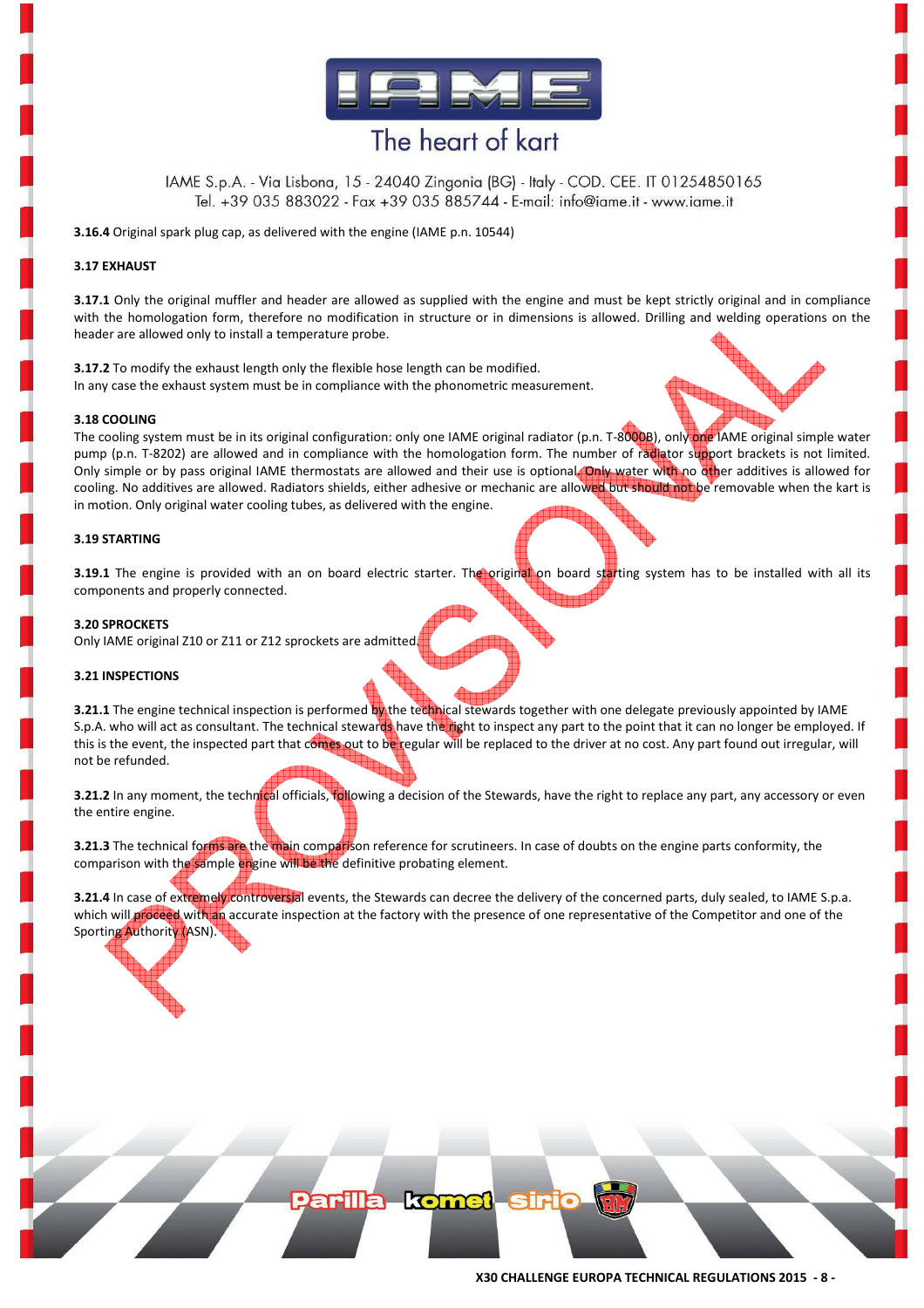

IAME S.p.A. - Via Lisbona, 15 - 24040 Zingonia (BG) - Italy - COD. CEE. IT 01254850165 Tel. +39 035 883022 - Fax +39 035 885744 - E-mail: info@iame.it - www.iame.it

**3.16.4** Original spark plug cap, as delivered with the engine (IAME p.n. 10544)

#### **3.17 EXHAUST**

**3.17.1** Only the original muffler and header are allowed as supplied with the engine and must be kept strictly original and in compliance with the homologation form, therefore no modification in structure or in dimensions is allowed. Drilling and welding operations on the header are allowed only to install a temperature probe.

**3.17.2** To modify the exhaust length only the flexible hose length can be modified. In any case the exhaust system must be in compliance with the phonometric measurement.

#### **3.18 COOLING**

The cooling system must be in its original configuration: only one IAME original radiator (p.n. T-8000B), only one IAME original simple water pump (p.n. T-8202) are allowed and in compliance with the homologation form. The number of radiator support brackets is not limited. Only simple or by pass original IAME thermostats are allowed and their use is optional. Only water with no other additives is allowed for cooling. No additives are allowed. Radiators shields, either adhesive or mechanic are allowed but should not be removable when the kart is in motion. Only original water cooling tubes, as delivered with the engine.

#### **3.19 STARTING**

**3.19.1** The engine is provided with an on board electric starter. The original on board starting system has to be installed with all its components and properly connected.

#### **3.20 SPROCKETS**

Only IAME original Z10 or Z11 or Z12 sprockets are admitted.

#### **3.21 INSPECTIONS**

**3.21.1** The engine technical inspection is performed by the technical stewards together with one delegate previously appointed by IAME S.p.A. who will act as consultant. The technical stewards have the right to inspect any part to the point that it can no longer be employed. If this is the event, the inspected part that comes out to be regular will be replaced to the driver at no cost. Any part found out irregular, will not be refunded.

**3.21.2** In any moment, the technical officials, following a decision of the Stewards, have the right to replace any part, any accessory or even the entire engine.

**3.21.3** The technical forms are the main comparison reference for scrutineers. In case of doubts on the engine parts conformity, the comparison with the sample engine will be the definitive probating element.

**3.21.4** In case of extremely controversial events, the Stewards can decree the delivery of the concerned parts, duly sealed, to IAME S.p.a. which will proceed with an accurate inspection at the factory with the presence of one representative of the Competitor and one of the Sporting Authority (ASN).

Parilla komet sir

**X30 CHALLENGE EUROPA TECHNICAL REGULATIONS 2015 - 8 -**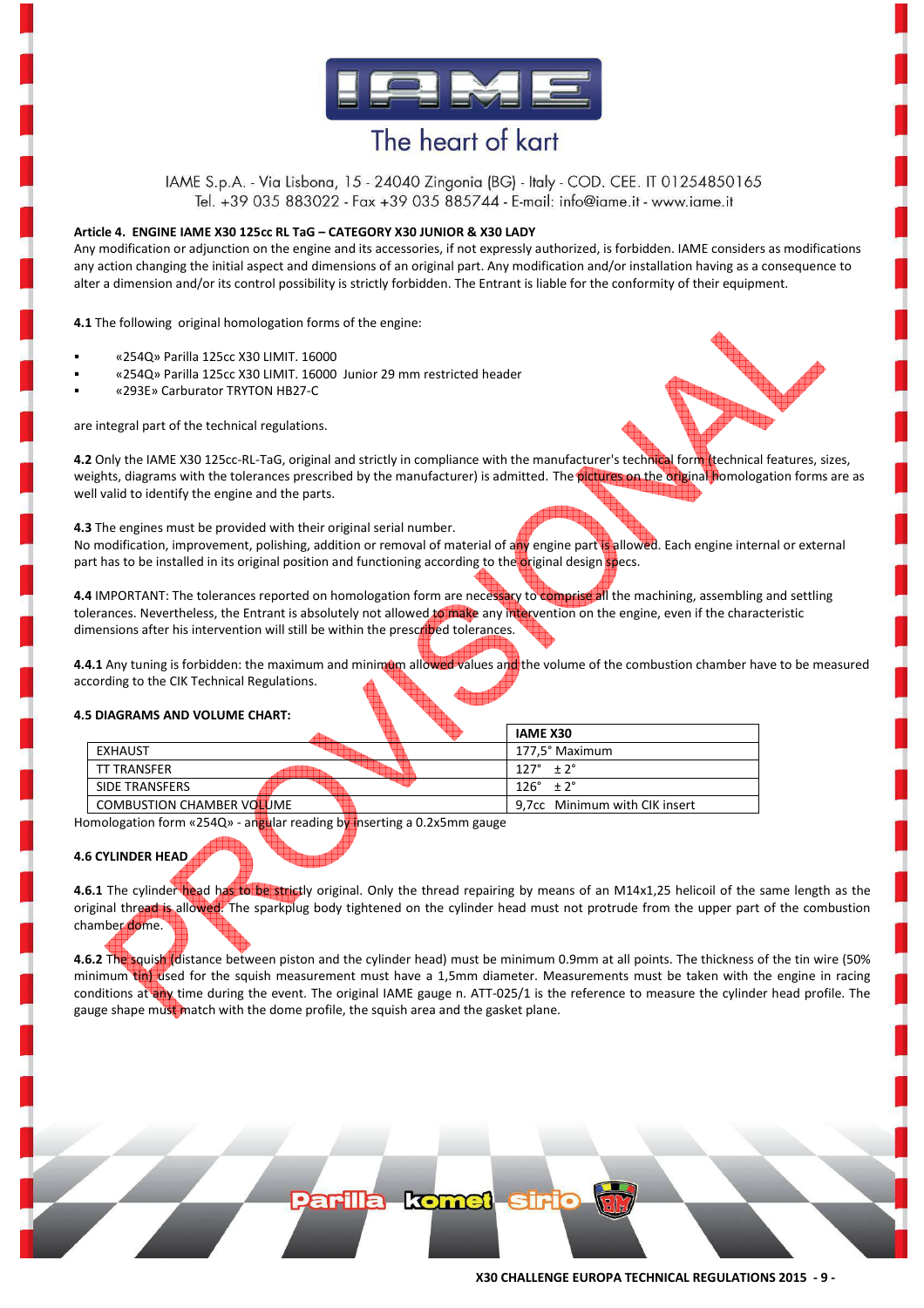

IAME S.p.A. - Via Lisbona, 15 - 24040 Zingonia (BG) - Italy - COD. CEE. IT 01254850165 Tel. +39 035 883022 - Fax +39 035 885744 - E-mail: info@iame.it - www.iame.it

#### **Article 4. ENGINE IAME X30 125cc RL TaG – CATEGORY X30 JUNIOR & X30 LADY**

Any modification or adjunction on the engine and its accessories, if not expressly authorized, is forbidden. IAME considers as modifications any action changing the initial aspect and dimensions of an original part. Any modification and/or installation having as a consequence to alter a dimension and/or its control possibility is strictly forbidden. The Entrant is liable for the conformity of their equipment.

**4.1** The following original homologation forms of the engine:

- «254Q» Parilla 125cc X30 LIMIT. 16000
- «254Q» Parilla 125cc X30 LIMIT. 16000 Junior 29 mm restricted header
- «293E» Carburator TRYTON HB27-C

are integral part of the technical regulations.



well valid to identify the engine and the parts.

**4.3** The engines must be provided with their original serial number.

No modification, improvement, polishing, addition or removal of material of any engine part is allowed. Each engine internal or external part has to be installed in its original position and functioning according to the original design specs.

**4.4** IMPORTANT: The tolerances reported on homologation form are necessary to comprise all the machining, assembling and settling tolerances. Nevertheless, the Entrant is absolutely not allowed to make any intervention on the engine, even if the characteristic dimensions after his intervention will still be within the prescribed tolerances.

4.4.1 Any tuning is forbidden: the maximum and minimum allowed values and the volume of the combustion chamber have to be measured according to the CIK Technical Regulations.

#### **4.5 DIAGRAMS AND VOLUME CHART:**

|                                  | <b>IAME X30</b>               |
|----------------------------------|-------------------------------|
| <b>EXHAUST</b>                   | 177.5° Maximum                |
| <b>TT TRANSFER</b>               | $127^{\circ}$ + $2^{\circ}$   |
| SIDE TRANSFERS                   | $126^{\circ}$ + $2^{\circ}$   |
| <b>COMBUSTION CHAMBER VOLUME</b> | 9.7cc Minimum with CIK insert |

Homologation form «254Q» - angular reading by inserting a 0.2x5mm gauge

#### **4.6 CYLINDER HEAD**

4.6.1 The cylinder head has to be strictly original. Only the thread repairing by means of an M14x1,25 helicoil of the same length as the original thread is allowed. The sparkplug body tightened on the cylinder head must not protrude from the upper part of the combustion chamber dome.

**4.6.2** The squish (distance between piston and the cylinder head) must be minimum 0.9mm at all points. The thickness of the tin wire (50% minimum tin) used for the squish measurement must have a 1,5mm diameter. Measurements must be taken with the engine in racing conditions at any time during the event. The original IAME gauge n. ATT-025/1 is the reference to measure the cylinder head profile. The gauge shape must match with the dome profile, the squish area and the gasket plane.

**arilla komet sir**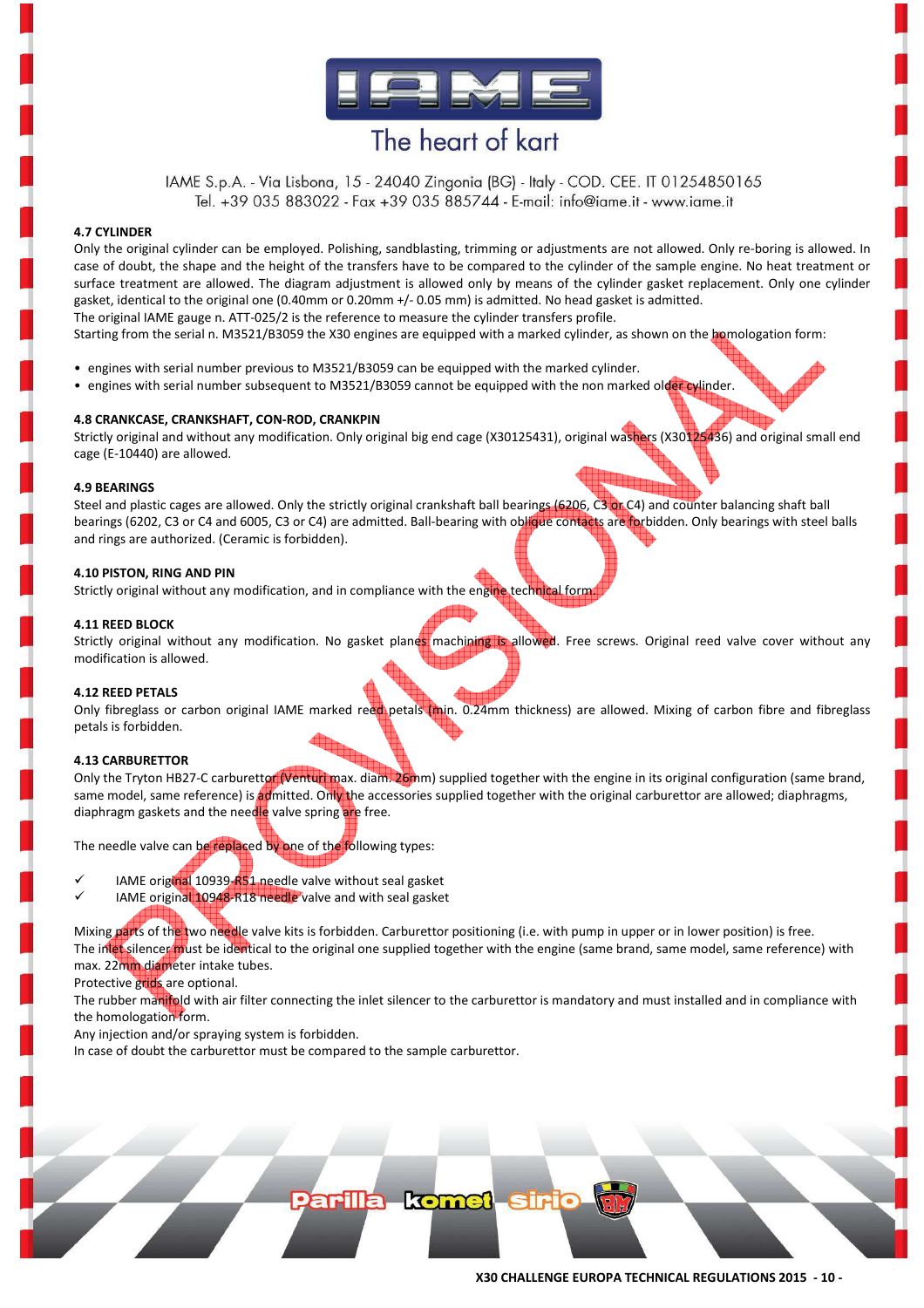

IAME S.p.A. - Via Lisbona, 15 - 24040 Zingonia (BG) - Italy - COD. CEE. IT 01254850165 Tel. +39 035 883022 - Fax +39 035 885744 - E-mail: info@iame.it - www.iame.it

#### **4.7 CYLINDER**

Only the original cylinder can be employed. Polishing, sandblasting, trimming or adjustments are not allowed. Only re-boring is allowed. In case of doubt, the shape and the height of the transfers have to be compared to the cylinder of the sample engine. No heat treatment or surface treatment are allowed. The diagram adjustment is allowed only by means of the cylinder gasket replacement. Only one cylinder gasket, identical to the original one (0.40mm or 0.20mm +/- 0.05 mm) is admitted. No head gasket is admitted. The original IAME gauge n. ATT-025/2 is the reference to measure the cylinder transfers profile.

Starting from the serial n. M3521/B3059 the X30 engines are equipped with a marked cylinder, as shown on the homologation form:

- engines with serial number previous to M3521/B3059 can be equipped with the marked cylinder.
- engines with serial number subsequent to M3521/B3059 cannot be equipped with the non marked older cylinder.

#### **4.8 CRANKCASE, CRANKSHAFT, CON-ROD, CRANKPIN**

Strictly original and without any modification. Only original big end cage (X30125431), original washers (X30125436) and original small end cage (E-10440) are allowed.

#### **4.9 BEARINGS**

Steel and plastic cages are allowed. Only the strictly original crankshaft ball bearings (6206, C3 or C4) and counter balancing shaft ball bearings (6202, C3 or C4 and 6005, C3 or C4) are admitted. Ball-bearing with oblique contacts are forbidden. Only bearings with steel balls and rings are authorized. (Ceramic is forbidden).

#### **4.10 PISTON, RING AND PIN**

Strictly original without any modification, and in compliance with the engine technical form

#### **4.11 REED BLOCK**

Strictly original without any modification. No gasket planes machining is allowed. Free screws. Original reed valve cover without any modification is allowed.

#### **4.12 REED PETALS**

Only fibreglass or carbon original IAME marked reed petals (min. 0.24mm thickness) are allowed. Mixing of carbon fibre and fibreglass petals is forbidden.

#### **4.13 CARBURETTOR**

Only the Tryton HB27-C carburettor (Venturi max. diam. 26mm) supplied together with the engine in its original configuration (same brand, same model, same reference) is admitted. Only the accessories supplied together with the original carburettor are allowed; diaphragms, diaphragm gaskets and the needle valve spring are free.

The needle valve can be replaced by one of the following types:

- $\checkmark$ IAME original 10939-R51 needle valve without seal gasket
- $\checkmark$ IAME original 10948-R18 needle valve and with seal gasket

Mixing parts of the two needle valve kits is forbidden. Carburettor positioning (i.e. with pump in upper or in lower position) is free. The inlet silencer must be identical to the original one supplied together with the engine (same brand, same model, same reference) with max. 22mm diameter intake tubes.

Protective grids are optional.

The rubber manifold with air filter connecting the inlet silencer to the carburettor is mandatory and must installed and in compliance with the homologation form.

**arilla komet sir** 

Any injection and/or spraying system is forbidden.

In case of doubt the carburettor must be compared to the sample carburettor.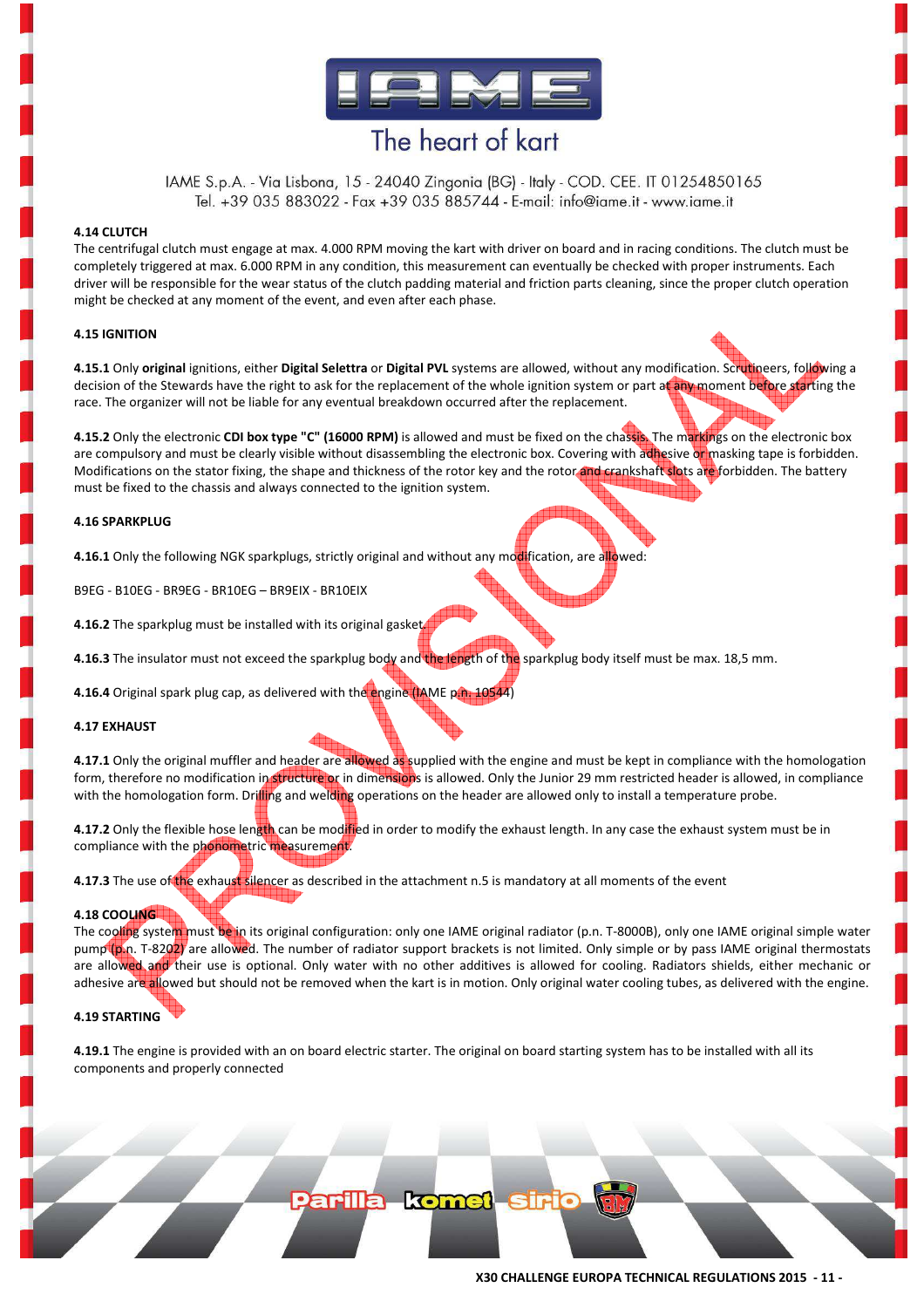

IAME S.p.A. - Via Lisbona, 15 - 24040 Zingonia (BG) - Italy - COD. CEE. IT 01254850165 Tel. +39 035 883022 - Fax +39 035 885744 - E-mail: info@iame.it - www.iame.it

#### **4.14 CLUTCH**

The centrifugal clutch must engage at max. 4.000 RPM moving the kart with driver on board and in racing conditions. The clutch must be completely triggered at max. 6.000 RPM in any condition, this measurement can eventually be checked with proper instruments. Each driver will be responsible for the wear status of the clutch padding material and friction parts cleaning, since the proper clutch operation might be checked at any moment of the event, and even after each phase.

#### **4.15 IGNITION**

**4.15.1** Only **original** ignitions, either **Digital Selettra** or **Digital PVL** systems are allowed, without any modification. Scrutineers, following a decision of the Stewards have the right to ask for the replacement of the whole ignition system or part at any moment before starting the race. The organizer will not be liable for any eventual breakdown occurred after the replacement.

**4.15.2** Only the electronic **CDI box type "C" (16000 RPM)** is allowed and must be fixed on the chassis. The markings on the electronic box are compulsory and must be clearly visible without disassembling the electronic box. Covering with adhesive or masking tape is forbidden. Modifications on the stator fixing, the shape and thickness of the rotor key and the rotor and crankshaft slots are forbidden. The battery must be fixed to the chassis and always connected to the ignition system.

#### **4.16 SPARKPLUG**

**4.16.1** Only the following NGK sparkplugs, strictly original and without any modification, are allowed:

B9EG - B10EG - BR9EG - BR10EG – BR9EIX - BR10EIX

**4.16.2** The sparkplug must be installed with its original gasket.

**4.16.3** The insulator must not exceed the sparkplug body and the length of the sparkplug body itself must be max. 18,5 mm.

**4.16.4** Original spark plug cap, as delivered with the engine (IAME p.n. 10544)

#### **4.17 EXHAUST**

**4.17.1** Only the original muffler and header are allowed as supplied with the engine and must be kept in compliance with the homologation form, therefore no modification in structure or in dimensions is allowed. Only the Junior 29 mm restricted header is allowed, in compliance with the homologation form. Drilling and welding operations on the header are allowed only to install a temperature probe.

**4.17.2** Only the flexible hose length can be modified in order to modify the exhaust length. In any case the exhaust system must be in compliance with the phonometric measurement.

**4.17.3** The use of the exhaust silencer as described in the attachment n.5 is mandatory at all moments of the event

#### **4.18 COOLING**

The cooling system must be in its original configuration: only one IAME original radiator (p.n. T-8000B), only one IAME original simple water pump (p.n. T-8202) are allowed. The number of radiator support brackets is not limited. Only simple or by pass IAME original thermostats are allowed and their use is optional. Only water with no other additives is allowed for cooling. Radiators shields, either mechanic or adhesive are allowed but should not be removed when the kart is in motion. Only original water cooling tubes, as delivered with the engine.

#### **4.19 STARTING**

**4.19.1** The engine is provided with an on board electric starter. The original on board starting system has to be installed with all its components and properly connected

Parilla komet sir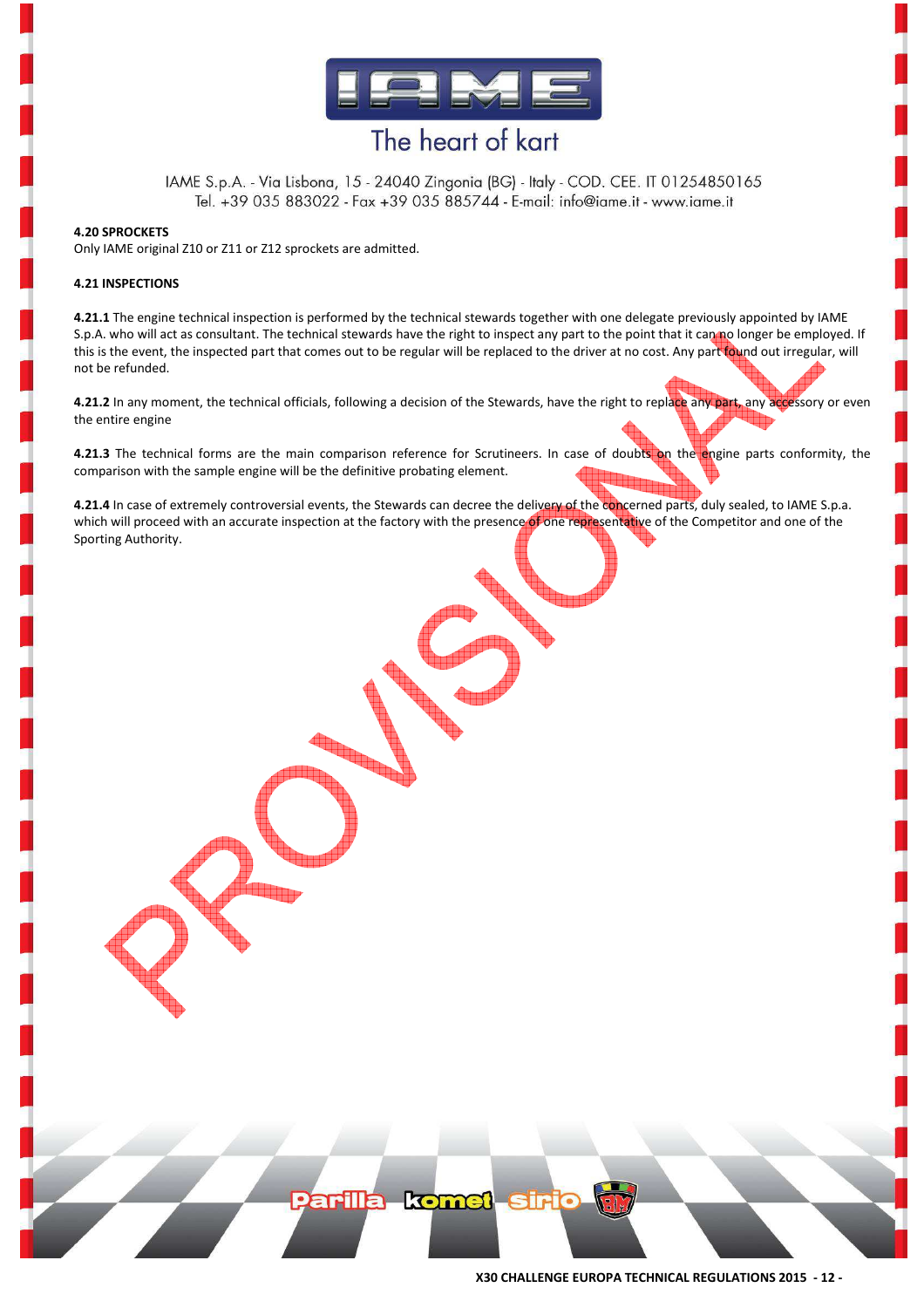

IAME S.p.A. - Via Lisbona, 15 - 24040 Zingonia (BG) - Italy - COD. CEE. IT 01254850165 Tel. +39 035 883022 - Fax +39 035 885744 - E-mail: info@iame.it - www.iame.it

#### **4.20 SPROCKETS**

Only IAME original Z10 or Z11 or Z12 sprockets are admitted.

#### **4.21 INSPECTIONS**

**4.21.1** The engine technical inspection is performed by the technical stewards together with one delegate previously appointed by IAME S.p.A. who will act as consultant. The technical stewards have the right to inspect any part to the point that it can no longer be employed. If this is the event, the inspected part that comes out to be regular will be replaced to the driver at no cost. Any part found out irregular, will not be refunded.

**4.21.2** In any moment, the technical officials, following a decision of the Stewards, have the right to replace any part, any accessory or even the entire engine

**4.21.3** The technical forms are the main comparison reference for Scrutineers. In case of doubts on the engine parts conformity, the comparison with the sample engine will be the definitive probating element.

**4.21.4** In case of extremely controversial events, the Stewards can decree the delivery of the concerned parts, duly sealed, to IAME S.p.a. which will proceed with an accurate inspection at the factory with the presence of one representative of the Competitor and one of the Sporting Authority.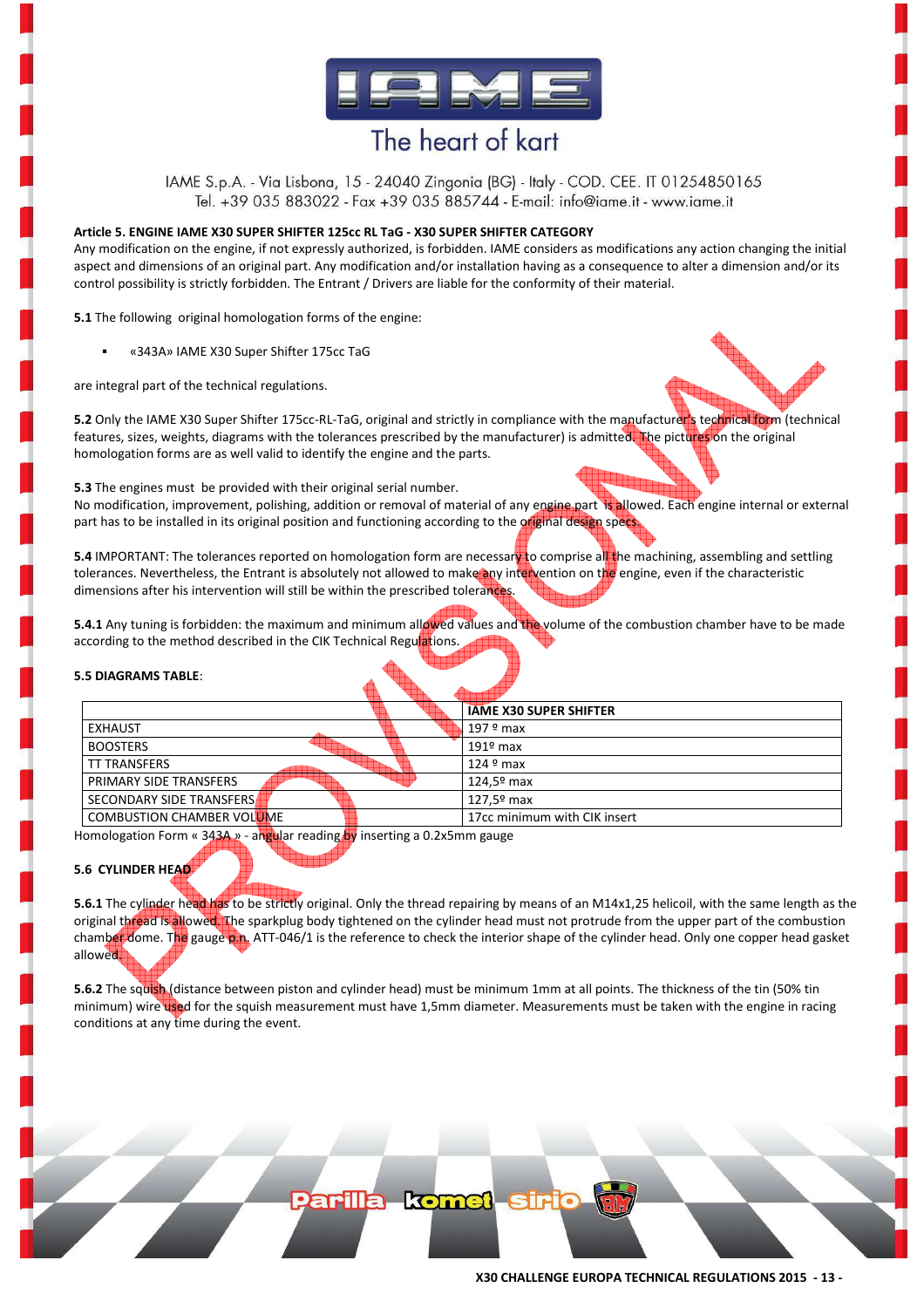

IAME S.p.A. - Via Lisbona, 15 - 24040 Zingonia (BG) - Italy - COD. CEE. IT 01254850165 Tel. +39 035 883022 - Fax +39 035 885744 - E-mail: info@iame.it - www.iame.it

#### **Article 5. ENGINE IAME X30 SUPER SHIFTER 125cc RL TaG - X30 SUPER SHIFTER CATEGORY**

Any modification on the engine, if not expressly authorized, is forbidden. IAME considers as modifications any action changing the initial aspect and dimensions of an original part. Any modification and/or installation having as a consequence to alter a dimension and/or its control possibility is strictly forbidden. The Entrant / Drivers are liable for the conformity of their material.

**5.1** The following original homologation forms of the engine:

«343A» IAME X30 Super Shifter 175cc TaG

are integral part of the technical regulations.

**5.2** Only the IAME X30 Super Shifter 175cc-RL-TaG, original and strictly in compliance with the manufacturer's technical form (technical features, sizes, weights, diagrams with the tolerances prescribed by the manufacturer) is admitted. The pictures on the original homologation forms are as well valid to identify the engine and the parts.

**5.3** The engines must be provided with their original serial number.

No modification, improvement, polishing, addition or removal of material of any engine part is allowed. Each engine internal or external part has to be installed in its original position and functioning according to the original design specs.

**5.4** IMPORTANT: The tolerances reported on homologation form are necessary to comprise all the machining, assembling and settling tolerances. Nevertheless, the Entrant is absolutely not allowed to make any intervention on the engine, even if the characteristic dimensions after his intervention will still be within the prescribed tolerances.

**5.4.1** Any tuning is forbidden: the maximum and minimum allowed values and the volume of the combustion chamber have to be made according to the method described in the CIK Technical Regulations.

#### **5.5 DIAGRAMS TABLE**:

|                                  | <b>IAME X30 SUPER SHIFTER</b> |  |
|----------------------------------|-------------------------------|--|
| <b>EXHAUST</b>                   | 197 º max                     |  |
| <b>BOOSTERS</b>                  | $191$ <sup>o</sup> max        |  |
| <b>TT TRANSFERS</b>              | $124°$ max                    |  |
| PRIMARY SIDE TRANSFERS           | 124,5º max                    |  |
| SECONDARY SIDE TRANSFERS         | 127,5º max                    |  |
| <b>COMBUSTION CHAMBER VOLUME</b> | 17cc minimum with CIK insert  |  |
|                                  |                               |  |

Homologation Form «  $343A$  » - angular reading by inserting a 0.2x5mm gauge

#### **5.6 CYLINDER HEAD**

**5.6.1** The cylinder head has to be strictly original. Only the thread repairing by means of an M14x1,25 helicoil, with the same length as the original thread is allowed. The sparkplug body tightened on the cylinder head must not protrude from the upper part of the combustion chamber dome. The gauge p.n. ATT-046/1 is the reference to check the interior shape of the cylinder head. Only one copper head gasket allowed.

**5.6.2** The squish (distance between piston and cylinder head) must be minimum 1mm at all points. The thickness of the tin (50% tin minimum) wire used for the squish measurement must have 1,5mm diameter. Measurements must be taken with the engine in racing conditions at any time during the event.

Parilla komet sir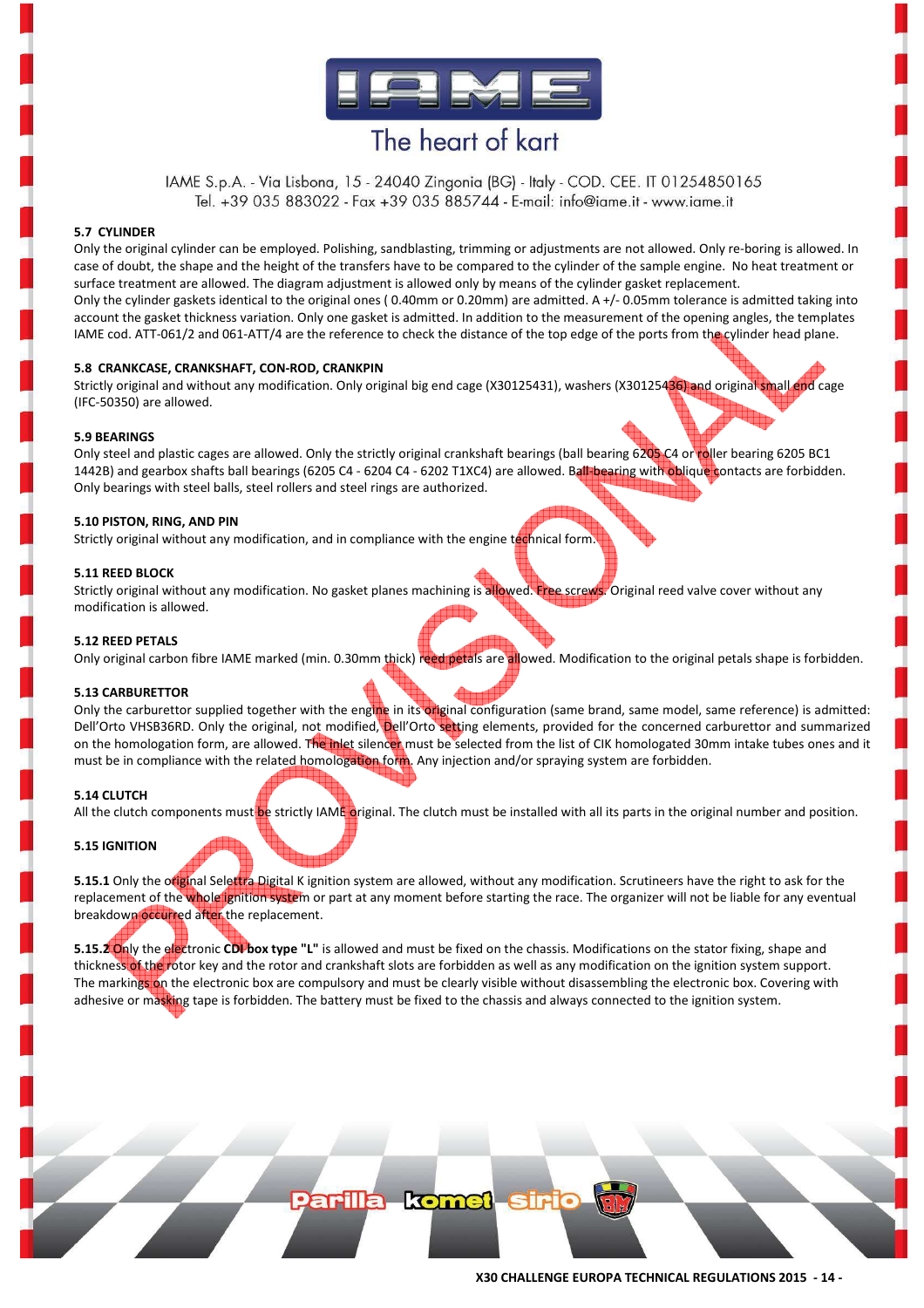

IAME S.p.A. - Via Lisbona, 15 - 24040 Zingonia (BG) - Italy - COD. CEE. IT 01254850165 Tel. +39 035 883022 - Fax +39 035 885744 - E-mail: info@iame.it - www.iame.it

#### **5.7 CYLINDER**

Only the original cylinder can be employed. Polishing, sandblasting, trimming or adjustments are not allowed. Only re-boring is allowed. In case of doubt, the shape and the height of the transfers have to be compared to the cylinder of the sample engine. No heat treatment or surface treatment are allowed. The diagram adjustment is allowed only by means of the cylinder gasket replacement. Only the cylinder gaskets identical to the original ones ( 0.40mm or 0.20mm) are admitted. A +/- 0.05mm tolerance is admitted taking into account the gasket thickness variation. Only one gasket is admitted. In addition to the measurement of the opening angles, the templates IAME cod. ATT-061/2 and 061-ATT/4 are the reference to check the distance of the top edge of the ports from the cylinder head plane.

#### **5.8 CRANKCASE, CRANKSHAFT, CON-ROD, CRANKPIN**

Strictly original and without any modification. Only original big end cage (X30125431), washers (X30125436) and original small end cage (IFC-50350) are allowed.

#### **5.9 BEARINGS**

Only steel and plastic cages are allowed. Only the strictly original crankshaft bearings (ball bearing 6205 C4 or roller bearing 6205 BC1 1442B) and gearbox shafts ball bearings (6205 C4 - 6204 C4 - 6202 T1XC4) are allowed. Ball-bearing with oblique contacts are forbidden. Only bearings with steel balls, steel rollers and steel rings are authorized.

#### **5.10 PISTON, RING, AND PIN**

Strictly original without any modification, and in compliance with the engine technical form

#### **5.11 REED BLOCK**

Strictly original without any modification. No gasket planes machining is allowed. Free screws. Original reed valve cover without any modification is allowed.

#### **5.12 REED PETALS**

Only original carbon fibre IAME marked (min. 0.30mm thick) reed petals are allowed. Modification to the original petals shape is forbidden.

#### **5.13 CARBURETTOR**

Only the carburettor supplied together with the engine in its original configuration (same brand, same model, same reference) is admitted: Dell'Orto VHSB36RD. Only the original, not modified, Dell'Orto setting elements, provided for the concerned carburettor and summarized on the homologation form, are allowed. The inlet silencer must be selected from the list of CIK homologated 30mm intake tubes ones and it must be in compliance with the related homologation form. Any injection and/or spraying system are forbidden.

#### **5.14 CLUTCH**

All the clutch components must be strictly IAME original. The clutch must be installed with all its parts in the original number and position.

#### **5.15 IGNITION**

**5.15.1** Only the original Selettra Digital K ignition system are allowed, without any modification. Scrutineers have the right to ask for the replacement of the whole ignition system or part at any moment before starting the race. The organizer will not be liable for any eventual breakdown occurred after the replacement.

**5.15.2 Only the electronic CDI box type "L"** is allowed and must be fixed on the chassis. Modifications on the stator fixing, shape and thickness of the rotor key and the rotor and crankshaft slots are forbidden as well as any modification on the ignition system support. The markings on the electronic box are compulsory and must be clearly visible without disassembling the electronic box. Covering with adhesive or masking tape is forbidden. The battery must be fixed to the chassis and always connected to the ignition system.

**arilla komet sir**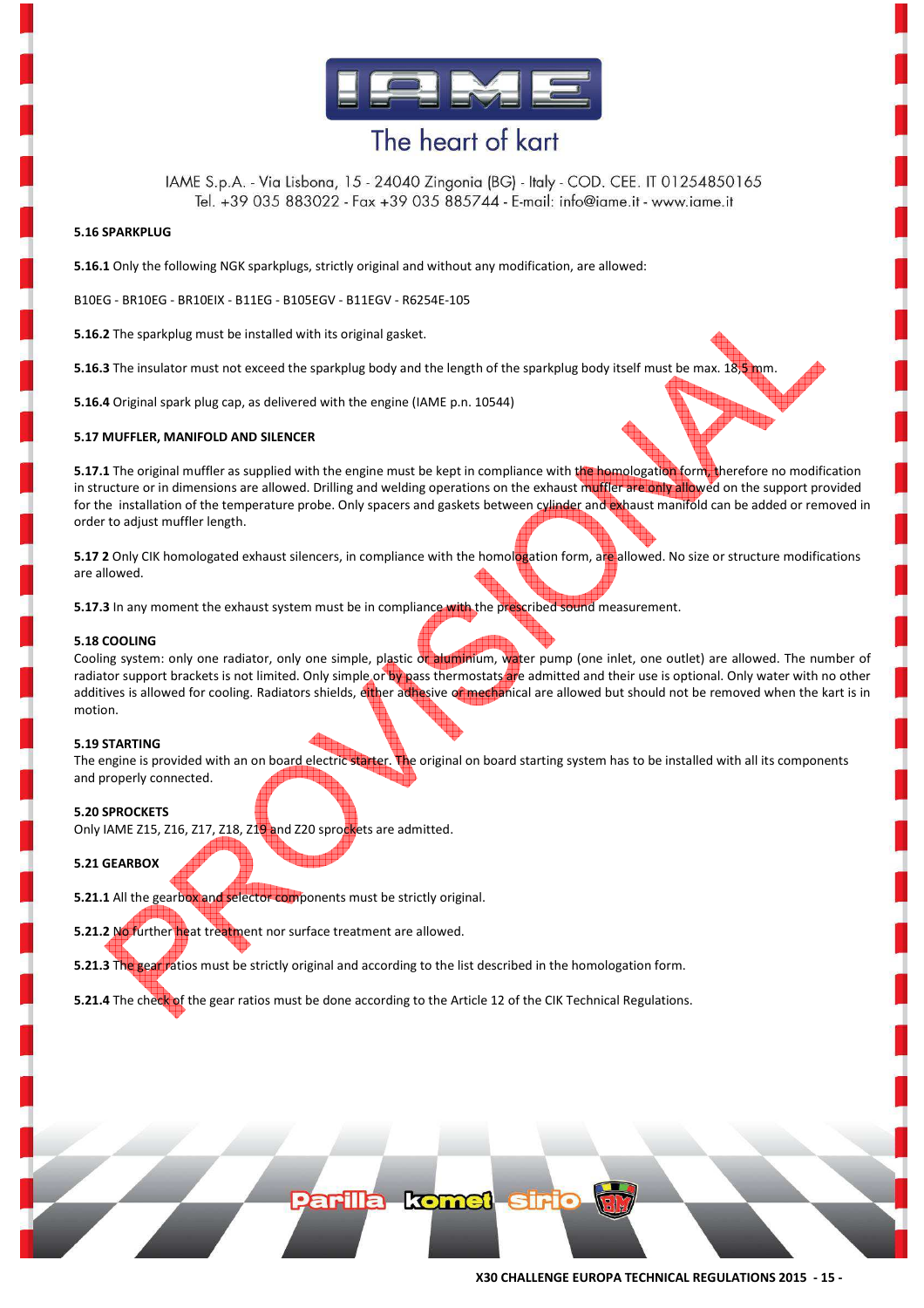

IAME S.p.A. - Via Lisbona, 15 - 24040 Zingonia (BG) - Italy - COD. CEE. IT 01254850165 Tel. +39 035 883022 - Fax +39 035 885744 - E-mail: info@iame.it - www.iame.it

#### **5.16 SPARKPLUG**

**5.16.1** Only the following NGK sparkplugs, strictly original and without any modification, are allowed:

B10EG - BR10EG - BR10EIX - B11EG - B105EGV - B11EGV - R6254E-105

**5.16.2** The sparkplug must be installed with its original gasket.

**5.16.3** The insulator must not exceed the sparkplug body and the length of the sparkplug body itself must be max. 18,5 mm.

**5.16.4** Original spark plug cap, as delivered with the engine (IAME p.n. 10544)

#### **5.17 MUFFLER, MANIFOLD AND SILENCER**

**5.17.1** The original muffler as supplied with the engine must be kept in compliance with the homologation form, therefore no modification in structure or in dimensions are allowed. Drilling and welding operations on the exhaust muffler are only allowed on the support provided for the installation of the temperature probe. Only spacers and gaskets between cylinder and exhaust manifold can be added or removed in order to adjust muffler length.

**5.17 2** Only CIK homologated exhaust silencers, in compliance with the homologation form, are allowed. No size or structure modifications are allowed.

**5.17.3** In any moment the exhaust system must be in compliance with the prescribed sound measurement.

#### **5.18 COOLING**

Cooling system: only one radiator, only one simple, plastic or aluminium, water pump (one inlet, one outlet) are allowed. The number of radiator support brackets is not limited. Only simple or by pass thermostats are admitted and their use is optional. Only water with no other additives is allowed for cooling. Radiators shields, either adhesive of mechanical are allowed but should not be removed when the kart is in motion.

#### **5.19 STARTING**

The engine is provided with an on board electric starter. The original on board starting system has to be installed with all its components and properly connected.

#### **5.20 SPROCKETS**

Only IAME Z15, Z16, Z17, Z18, Z19 and Z20 sprockets are admitted.

#### **5.21 GEARBOX**

**5.21.1** All the gearbox and selector components must be strictly original.

**5.21.2 No further heat treatment nor surface treatment are allowed.** 

**5.21.3** The gear ratios must be strictly original and according to the list described in the homologation form.

**5.21.4** The check of the gear ratios must be done according to the Article 12 of the CIK Technical Regulations.

Parilla komet siri

**X30 CHALLENGE EUROPA TECHNICAL REGULATIONS 2015 - 15 -**